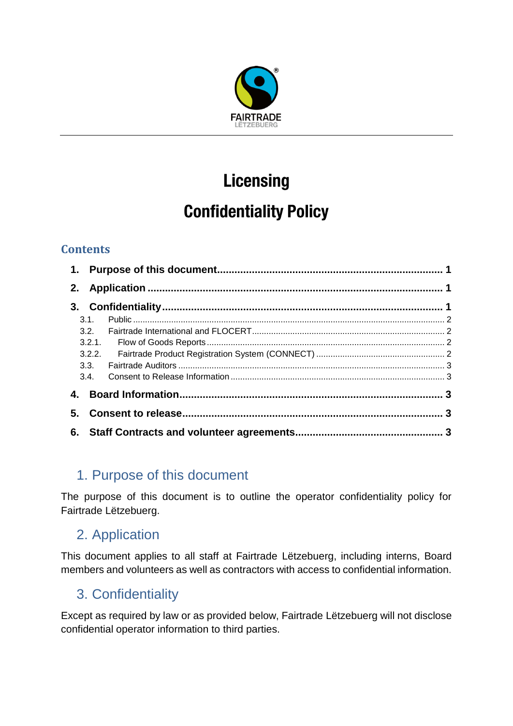

# **Licensing**

## **Confidentiality Policy**

### **Contents**

| 3.1. |  |
|------|--|
|      |  |
|      |  |
|      |  |
|      |  |
|      |  |
|      |  |
|      |  |
|      |  |

## <span id="page-0-0"></span>1. Purpose of this document

The purpose of this document is to outline the operator confidentiality policy for Fairtrade Lëtzebuerg.

## <span id="page-0-1"></span>2. Application

This document applies to all staff at Fairtrade Lëtzebuerg, including interns, Board members and volunteers as well as contractors with access to confidential information.

## <span id="page-0-2"></span>3. Confidentiality

Except as required by law or as provided below, Fairtrade Lëtzebuerg will not disclose confidential operator information to third parties.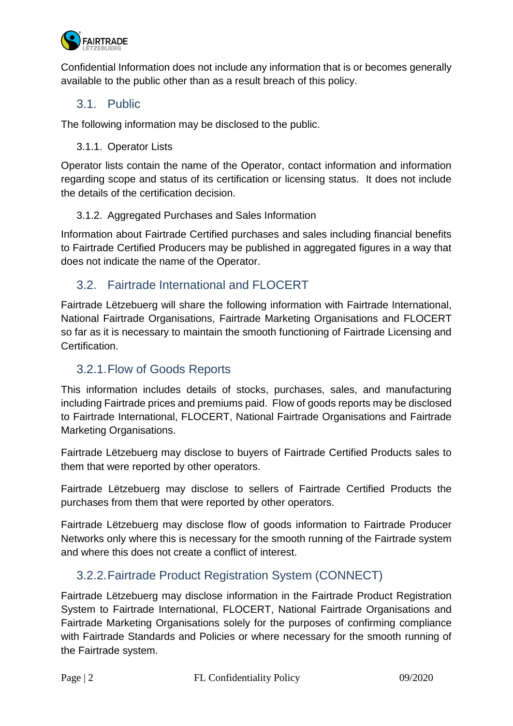

Confidential Information does not include any information that is or becomes generally available to the public other than as a result breach of this policy.

#### <span id="page-1-0"></span>3.1. Public

The following information may be disclosed to the public.

3.1.1. Operator Lists

Operator lists contain the name of the Operator, contact information and information regarding scope and status of its certification or licensing status. It does not include the details of the certification decision.

#### 3.1.2. Aggregated Purchases and Sales Information

Information about Fairtrade Certified purchases and sales including financial benefits to Fairtrade Certified Producers may be published in aggregated figures in a way that does not indicate the name of the Operator.

#### <span id="page-1-1"></span>3.2. Fairtrade International and FLOCERT

Fairtrade Lëtzebuerg will share the following information with Fairtrade International, National Fairtrade Organisations, Fairtrade Marketing Organisations and FLOCERT so far as it is necessary to maintain the smooth functioning of Fairtrade Licensing and Certification.

#### <span id="page-1-2"></span>3.2.1.Flow of Goods Reports

This information includes details of stocks, purchases, sales, and manufacturing including Fairtrade prices and premiums paid. Flow of goods reports may be disclosed to Fairtrade International, FLOCERT, National Fairtrade Organisations and Fairtrade Marketing Organisations.

Fairtrade Lëtzebuerg may disclose to buyers of Fairtrade Certified Products sales to them that were reported by other operators.

Fairtrade Lëtzebuerg may disclose to sellers of Fairtrade Certified Products the purchases from them that were reported by other operators.

Fairtrade Lëtzebuerg may disclose flow of goods information to Fairtrade Producer Networks only where this is necessary for the smooth running of the Fairtrade system and where this does not create a conflict of interest.

#### <span id="page-1-3"></span>3.2.2.Fairtrade Product Registration System (CONNECT)

Fairtrade Lëtzebuerg may disclose information in the Fairtrade Product Registration System to Fairtrade International, FLOCERT, National Fairtrade Organisations and Fairtrade Marketing Organisations solely for the purposes of confirming compliance with Fairtrade Standards and Policies or where necessary for the smooth running of the Fairtrade system.